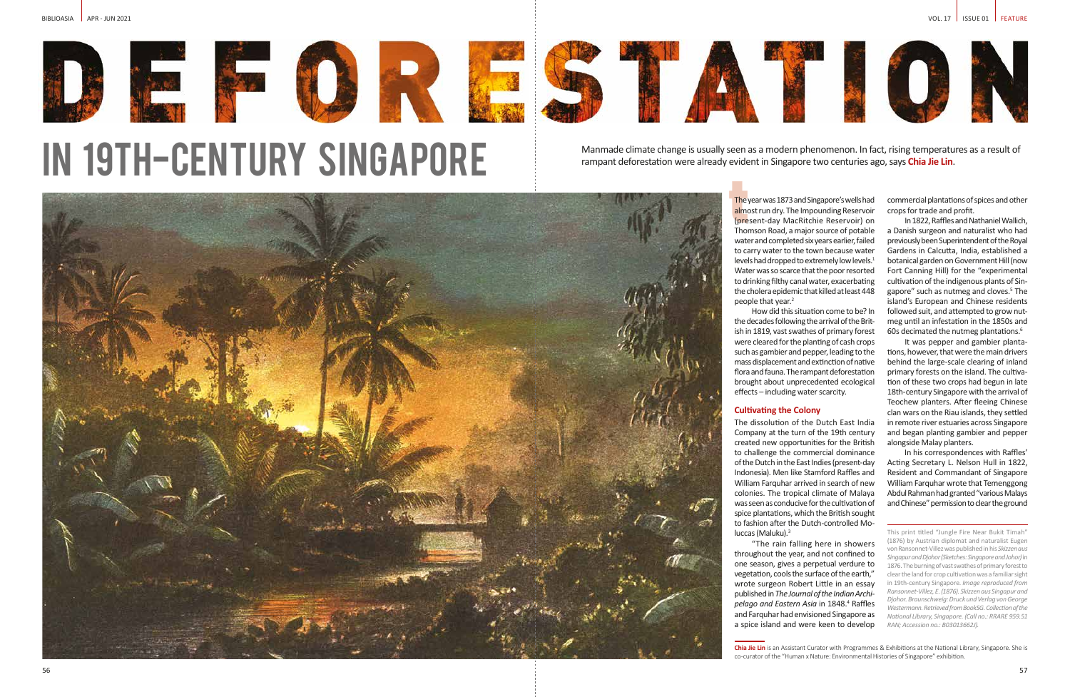

IN 19TH-CENTURY SINGAPORE

**Chia Jie Lin** is an Assistant Curator with Programmes & Exhibitions at the National Library, Singapore. She is co-curator of the "Human x Nature: Environmental Histories of Singapore" exhibition.

Manmade climate change is usually seen as a modern phenomenon. In fact, rising temperatures as a result of rampant deforestation were already evident in Singapore two centuries ago, says **Chia Jie Lin**.



The y<br>almo<br>(pres<br>Thor The year was 1873 and Singapore's wells had almost run dry. The Impounding Reservoir (present-day MacRitchie Reservoir) on Thomson Road, a major source of potable water and completed six years earlier, failed to carry water to the town because water levels had dropped to extremely low levels.<sup>1</sup> Water was so scarce that the poor resorted to drinking filthy canal water, exacerbating the cholera epidemic that killed at least 448 people that year.<sup>2</sup>

How did this situation come to be? In the decades following the arrival of the British in 1819, vast swathes of primary forest were cleared for the planting of cash crops such as gambier and pepper, leading to the mass displacement and extinction of native flora and fauna. The rampant deforestation brought about unprecedented ecological effects – including water scarcity.

In 1822, Raffles and Nathaniel Wallich, a Danish surgeon and naturalist who had previously been Superintendent of the Royal Gardens in Calcutta, India, established a botanical garden on Government Hill (now Fort Canning Hill) for the "experimental cultivation of the indigenous plants of Singapore" such as nutmeg and cloves.<sup>5</sup> The island's European and Chinese residents followed suit, and attempted to grow nutmeg until an infestation in the 1850s and 60s decimated the nutmeg plantations.<sup>6</sup>

# **Cultivating the Colony**

The dissolution of the Dutch East India Company at the turn of the 19th century created new opportunities for the British to challenge the commercial dominance of the Dutch in the East Indies (present-day Indonesia). Men like Stamford Raffles and William Farquhar arrived in search of new colonies. The tropical climate of Malaya was seen as conducive for the cultivation of spice plantations, which the British sought to fashion after the Dutch-controlled Moluccas (Maluku).3

"The rain falling here in showers throughout the year, and not confined to one season, gives a perpetual verdure to vegetation, cools the surface of the earth," wrote surgeon Robert Little in an essay published in *The Journal of the Indian Archipelago and Eastern Asia* in 1848.4 Raffles and Farquhar had envisioned Singapore as a spice island and were keen to develop

commercial plantations of spices and other crops for trade and profit.

It was pepper and gambier plantations, however, that were the main drivers behind the large-scale clearing of inland primary forests on the island. The cultivation of these two crops had begun in late 18th-century Singapore with the arrival of Teochew planters. After fleeing Chinese clan wars on the Riau islands, they settled in remote river estuaries across Singapore and began planting gambier and pepper alongside Malay planters.

In his correspondences with Raffles' Acting Secretary L. Nelson Hull in 1822, Resident and Commandant of Singapore William Farquhar wrote that Temenggong Abdul Rahman had granted "various Malays and Chinese" permission to clear the ground

This print titled "Jungle Fire Near Bukit Timah" (1876) by Austrian diplomat and naturalist Eugen von Ransonnet-Villez was published in his *Skizzen aus Singapur and Djohor (Sketches: Singapore and Johor)* in 1876. The burning of vast swathes of primary forest to clear the land for crop cultivation was a familiar sight in 19th-century Singapore. *Image reproduced from Ransonnet-Villez, E. (1876). Skizzen aus Singapur and Djohor. Braunschweig: Druck und Verlag von George Westermann. Retrieved from BookSG. Collection of the National Library, Singapore. (Call no.: RRARE 959.51 RAN; Accession no.: B03013662J).*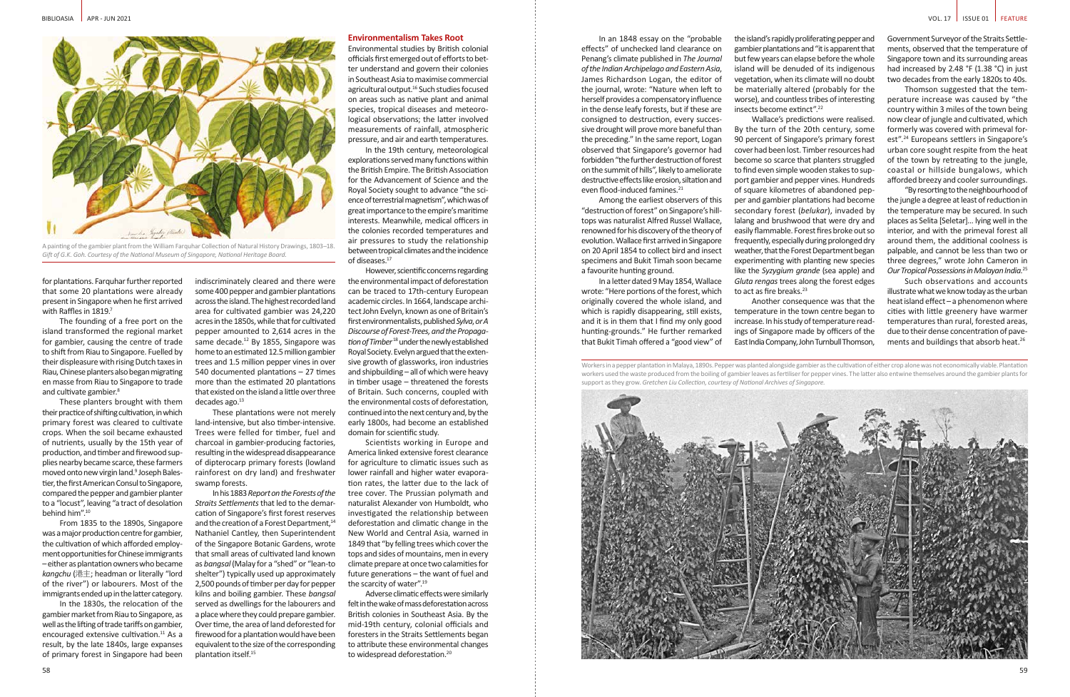The founding of a free port on the island transformed the regional market for gambier, causing the centre of trade to shift from Riau to Singapore. Fuelled by their displeasure with rising Dutch taxes in Riau, Chinese planters also began migrating en masse from Riau to Singapore to trade and cultivate gambier.<sup>8</sup>

These planters brought with them their practice of shifting cultivation, in which primary forest was cleared to cultivate crops. When the soil became exhausted of nutrients, usually by the 15th year of production, and timber and firewood supplies nearby became scarce, these farmers moved onto new virgin land.<sup>9</sup> Joseph Balestier, the first American Consul to Singapore, compared the pepper and gambier planter to a "locust", leaving "a tract of desolation behind him".10

From 1835 to the 1890s, Singapore was a major production centre for gambier, the cultivation of which afforded employment opportunities for Chinese immigrants – either as plantation owners who became *kangchu* (港主; headman or literally "lord of the river") or labourers. Most of the immigrants ended up in the latter category.

In the 1830s, the relocation of the gambier market from Riau to Singapore, as well as the lifting of trade tariffs on gambier, encouraged extensive cultivation.<sup>11</sup> As a result, by the late 1840s, large expanses of primary forest in Singapore had been

indiscriminately cleared and there were some 400 pepper and gambier plantations across the island. The highest recorded land area for cultivated gambier was 24,220 acres in the 1850s, while that for cultivated pepper amounted to 2,614 acres in the same decade.<sup>12</sup> By 1855, Singapore was home to an estimated 12.5 million gambier trees and 1.5 million pepper vines in over 540 documented plantations – 27 times more than the estimated 20 plantations

that existed on the island a little over three

decades ago.<sup>13</sup> These plantations were not merely land-intensive, but also timber-intensive. Trees were felled for timber, fuel and charcoal in gambier-producing factories, resulting in the widespread disappearance of dipterocarp primary forests (lowland rainforest on dry land) and freshwater swamp forests.

Scientists working in Europe and America linked extensive forest clearance for agriculture to climatic issues such as lower rainfall and higher water evaporation rates, the latter due to the lack of tree cover. The Prussian polymath and naturalist Alexander von Humboldt, who investigated the relationship between deforestation and climatic change in the New World and Central Asia, warned in 1849 that "by felling trees which cover the tops and sides of mountains, men in every climate prepare at once two calamities for future generations – the want of fuel and the scarcity of water".<sup>19</sup>

Adverse climatic effects were similarly felt in the wake of mass deforestation across British colonies in Southeast Asia. By the mid-19th century, colonial officials and foresters in the Straits Settlements began to attribute these environmental changes to widespread deforestation.<sup>20</sup>

In his 1883 *Report on the Forests of the Straits Settlements* that led to the demarcation of Singapore's first forest reserves and the creation of a Forest Department,<sup>14</sup> Nathaniel Cantley, then Superintendent of the Singapore Botanic Gardens, wrote that small areas of cultivated land known as *bangsal* (Malay for a "shed" or "lean-to shelter") typically used up approximately 2,500 pounds of timber per day for pepper kilns and boiling gambier. These *bangsal*  served as dwellings for the labourers and a place where they could prepare gambier. Over time, the area of land deforested for firewood for a plantation would have been equivalent to the size of the corresponding plantation itself.15

## **Environmentalism Takes Root**

Environmental studies by British colonial officials first emerged out of efforts to better understand and govern their colonies in Southeast Asia to maximise commercial agricultural output.<sup>16</sup> Such studies focused on areas such as native plant and animal species, tropical diseases and meteorological observations; the latter involved measurements of rainfall, atmospheric pressure, and air and earth temperatures.

In the 19th century, meteorological explorations served many functions within the British Empire. The British Association for the Advancement of Science and the Royal Society sought to advance "the science of terrestrial magnetism", which was of great importance to the empire's maritime interests. Meanwhile, medical officers in the colonies recorded temperatures and air pressures to study the relationship between tropical climates and the incidence of diseases.<sup>17</sup>

Wallace's predictions were realised. By the turn of the 20th century, some 90 percent of Singapore's primary forest cover had been lost. Timber resources had become so scarce that planters struggled to find even simple wooden stakes to support gambier and pepper vines. Hundreds of square kilometres of abandoned pepper and gambier plantations had become secondary forest (*belukar*), invaded by lalang and brushwood that were dry and easily flammable. Forest fires broke out so frequently, especially during prolonged dry weather, that the Forest Department began experimenting with planting new species like the *Syzygium grande* (sea apple) and *Gluta rengas* trees along the forest edges to act as fire breaks.<sup>23</sup>

However, scientific concerns regarding the environmental impact of deforestation can be traced to 17th-century European academic circles. In 1664, landscape architect John Evelyn, known as one of Britain's first environmentalists, published *Sylva*, *or A Discourse of Forest-Trees, and the Propagation of Timber*18 under the newly established Royal Society. Evelyn argued that the extensive growth of glassworks, iron industries and shipbuilding – all of which were heavy in timber usage – threatened the forests of Britain. Such concerns, coupled with the environmental costs of deforestation, continued into the next century and, by the early 1800s, had become an established domain for scientific study.

Such observations and accounts illustrate what we know today as the urban heat island effect – a phenomenon where cities with little greenery have warmer temperatures than rural, forested areas, due to their dense concentration of pavements and buildings that absorb heat.<sup>26</sup>

In an 1848 essay on the "probable effects" of unchecked land clearance on Penang's climate published in *The Journal of the Indian Archipelago and Eastern Asia*, James Richardson Logan, the editor of the journal, wrote: "Nature when left to herself provides a compensatory influence in the dense leafy forests, but if these are consigned to destruction, every successive drought will prove more baneful than the preceding." In the same report, Logan observed that Singapore's governor had forbidden "the further destruction of forest on the summit of hills", likely to ameliorate destructive effects like erosion, siltation and

Among the earliest observers of this "destruction of forest" on Singapore's hilltops was naturalist Alfred Russel Wallace, renowned for his discovery of the theory of evolution. Wallace first arrived in Singapore on 20 April 1854 to collect bird and insect specimens and Bukit Timah soon became a favourite hunting ground.

even flood-induced famines.<sup>21</sup>

In a letter dated 9 May 1854, Wallace wrote: "Here portions of the forest, which originally covered the whole island, and which is rapidly disappearing, still exists, and it is in them that I find my only good hunting-grounds." He further remarked that Bukit Timah offered a "good view" of

Workers in a pepper plantation in Malaya, 1890s. Pepper was planted alongside gambier as the cultivation of either crop alone was not economically viable. Plantation workers used the waste produced from the boiling of gambier leaves as fertiliser for pepper vines. The latter also entwine themselves around the gambier plants for support as they grow. *Gretchen Liu Collection, courtesy of National Archives of Singapore.*





A painting of the gambier plant from the William Farquhar Collection of Natural History Drawings, 1803–18. *Gift of G.K. Goh. Courtesy of the National Museum of Singapore, National Heritage Board.*

for plantations. Farquhar further reported that some 20 plantations were already present in Singapore when he first arrived with Raffles in 1819.7

the island's rapidly proliferating pepper and gambier plantations and "it is apparent that but few years can elapse before the whole island will be denuded of its indigenous vegetation, when its climate will no doubt be materially altered (probably for the worse), and countless tribes of interesting insects become extinct".22

Another consequence was that the temperature in the town centre began to increase. In his study of temperature readings of Singapore made by officers of the East India Company, John Turnbull Thomson,

Government Surveyor of the Straits Settlements, observed that the temperature of Singapore town and its surrounding areas had increased by 2.48 °F (1.38 °C) in just two decades from the early 1820s to 40s.

Thomson suggested that the temperature increase was caused by "the country within 3 miles of the town being now clear of jungle and cultivated, which formerly was covered with primeval forest".24 Europeans settlers in Singapore's urban core sought respite from the heat of the town by retreating to the jungle, coastal or hillside bungalows, which afforded breezy and cooler surroundings.

"By resorting to the neighbourhood of the jungle a degree at least of reduction in the temperature may be secured. In such places as Selita [Seletar]… lying well in the interior, and with the primeval forest all around them, the additional coolness is palpable, and cannot be less than two or three degrees," wrote John Cameron in *Our Tropical Possessions in Malayan India*. 25